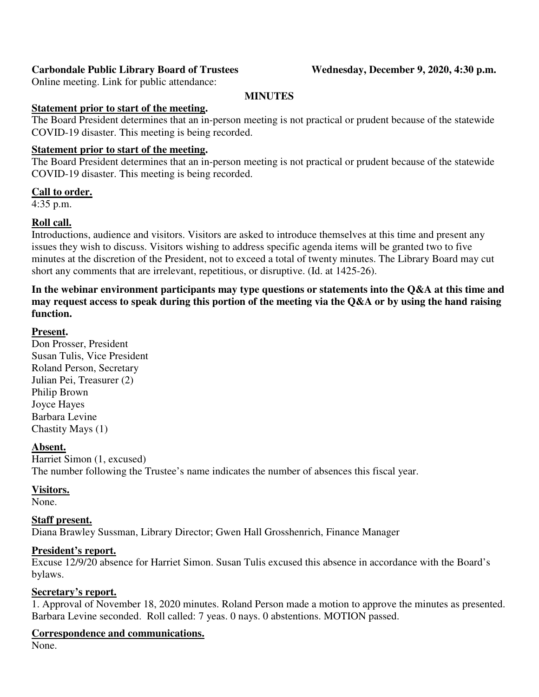# Carbondale Public Library Board of Trustees Wednesday, December 9, 2020, 4:30 p.m.

Online meeting. Link for public attendance:

# **MINUTES**

# **Statement prior to start of the meeting.**

The Board President determines that an in-person meeting is not practical or prudent because of the statewide COVID-19 disaster. This meeting is being recorded.

# **Statement prior to start of the meeting.**

The Board President determines that an in-person meeting is not practical or prudent because of the statewide COVID-19 disaster. This meeting is being recorded.

# **Call to order.**

4:35 p.m.

# **Roll call.**

Introductions, audience and visitors. Visitors are asked to introduce themselves at this time and present any issues they wish to discuss. Visitors wishing to address specific agenda items will be granted two to five minutes at the discretion of the President, not to exceed a total of twenty minutes. The Library Board may cut short any comments that are irrelevant, repetitious, or disruptive. (Id. at 1425-26).

**In the webinar environment participants may type questions or statements into the Q&A at this time and may request access to speak during this portion of the meeting via the Q&A or by using the hand raising function.** 

# **Present.**

Don Prosser, President Susan Tulis, Vice President Roland Person, Secretary Julian Pei, Treasurer (2) Philip Brown Joyce Hayes Barbara Levine Chastity Mays (1)

# **Absent.**

Harriet Simon (1, excused) The number following the Trustee's name indicates the number of absences this fiscal year.

# **Visitors.**

None.

# **Staff present.**

Diana Brawley Sussman, Library Director; Gwen Hall Grosshenrich, Finance Manager

# **President's report.**

Excuse 12/9/20 absence for Harriet Simon. Susan Tulis excused this absence in accordance with the Board's bylaws.

# **Secretary's report.**

1. Approval of November 18, 2020 minutes. Roland Person made a motion to approve the minutes as presented. Barbara Levine seconded. Roll called: 7 yeas. 0 nays. 0 abstentions. MOTION passed.

# **Correspondence and communications.**

None.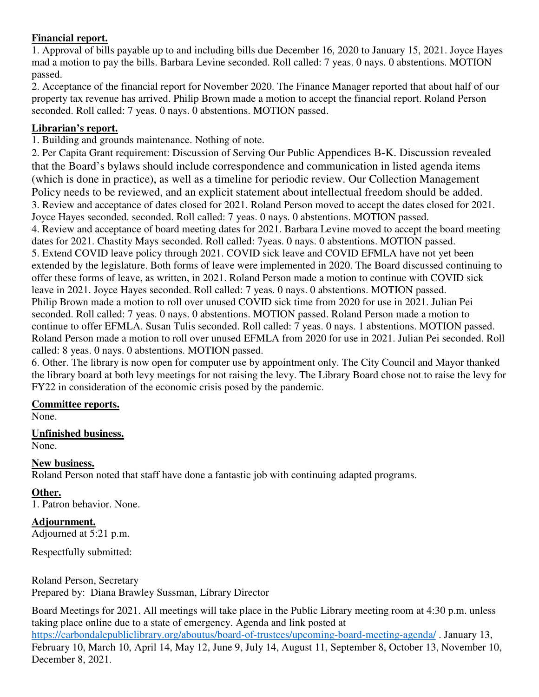# **Financial report.**

1. Approval of bills payable up to and including bills due December 16, 2020 to January 15, 2021. Joyce Hayes mad a motion to pay the bills. Barbara Levine seconded. Roll called: 7 yeas. 0 nays. 0 abstentions. MOTION passed.

2. Acceptance of the financial report for November 2020. The Finance Manager reported that about half of our property tax revenue has arrived. Philip Brown made a motion to accept the financial report. Roland Person seconded. Roll called: 7 yeas. 0 nays. 0 abstentions. MOTION passed.

# **Librarian's report.**

1. Building and grounds maintenance. Nothing of note.

2. Per Capita Grant requirement: Discussion of Serving Our Public Appendices B-K. Discussion revealed that the Board's bylaws should include correspondence and communication in listed agenda items (which is done in practice), as well as a timeline for periodic review. Our Collection Management Policy needs to be reviewed, and an explicit statement about intellectual freedom should be added. 3. Review and acceptance of dates closed for 2021. Roland Person moved to accept the dates closed for 2021. Joyce Hayes seconded. seconded. Roll called: 7 yeas. 0 nays. 0 abstentions. MOTION passed. 4. Review and acceptance of board meeting dates for 2021. Barbara Levine moved to accept the board meeting dates for 2021. Chastity Mays seconded. Roll called: 7yeas. 0 nays. 0 abstentions. MOTION passed. 5. Extend COVID leave policy through 2021. COVID sick leave and COVID EFMLA have not yet been extended by the legislature. Both forms of leave were implemented in 2020. The Board discussed continuing to offer these forms of leave, as written, in 2021. Roland Person made a motion to continue with COVID sick leave in 2021. Joyce Hayes seconded. Roll called: 7 yeas. 0 nays. 0 abstentions. MOTION passed. Philip Brown made a motion to roll over unused COVID sick time from 2020 for use in 2021. Julian Pei seconded. Roll called: 7 yeas. 0 nays. 0 abstentions. MOTION passed. Roland Person made a motion to continue to offer EFMLA. Susan Tulis seconded. Roll called: 7 yeas. 0 nays. 1 abstentions. MOTION passed. Roland Person made a motion to roll over unused EFMLA from 2020 for use in 2021. Julian Pei seconded. Roll called: 8 yeas. 0 nays. 0 abstentions. MOTION passed.

6. Other. The library is now open for computer use by appointment only. The City Council and Mayor thanked the library board at both levy meetings for not raising the levy. The Library Board chose not to raise the levy for FY22 in consideration of the economic crisis posed by the pandemic.

# **Committee reports.**

None.

**Unfinished business.** 

None.

# **New business.**

Roland Person noted that staff have done a fantastic job with continuing adapted programs.

# **Other.**

1. Patron behavior. None.

# **Adjournment.**

Adjourned at 5:21 p.m.

Respectfully submitted:

Roland Person, Secretary Prepared by: Diana Brawley Sussman, Library Director

Board Meetings for 2021. All meetings will take place in the Public Library meeting room at 4:30 p.m. unless taking place online due to a state of emergency. Agenda and link posted at

https://carbondalepubliclibrary.org/aboutus/board-of-trustees/upcoming-board-meeting-agenda/ . January 13, February 10, March 10, April 14, May 12, June 9, July 14, August 11, September 8, October 13, November 10, December 8, 2021.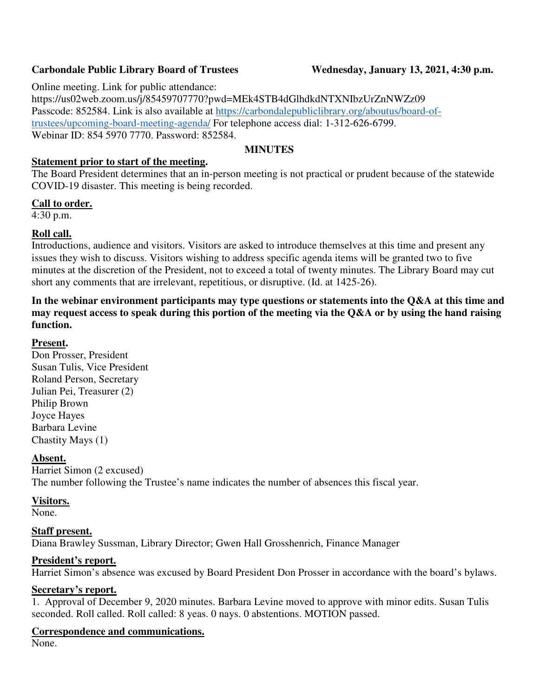# Carbondale Public Library Board of Trustees Wednesday, January 13, 2021, 4:30 p.m.

Online meeting. Link for public attendance:

https://us02web.zoom.us/j/85459707770?pwd=MEk4STB4dGlhdkdNTXNIbzUrZnNWZz09 Passcode: 852584. Link is also available at https://carbondalepubliclibrary.org/aboutus/board-oftrustees/upcoming-board-meeting-agenda/ For telephone access dial: 1-312-626-6799. Webinar ID: 854 5970 7770. Password: 852584.

# **MINUTES**

# **Statement prior to start of the meeting.**

The Board President determines that an in-person meeting is not practical or prudent because of the statewide COVID-19 disaster. This meeting is being recorded.

# **Call to order.**

4:30 p.m.

# **Roll call.**

Introductions, audience and visitors. Visitors are asked to introduce themselves at this time and present any issues they wish to discuss. Visitors wishing to address specific agenda items will be granted two to five minutes at the discretion of the President, not to exceed a total of twenty minutes. The Library Board may cut short any comments that are irrelevant, repetitious, or disruptive. (Id. at 1425-26).

**In the webinar environment participants may type questions or statements into the Q&A at this time and may request access to speak during this portion of the meeting via the Q&A or by using the hand raising function.** 

# **Present.**

Don Prosser, President Susan Tulis, Vice President Roland Person, Secretary Julian Pei, Treasurer (2) Philip Brown Joyce Hayes Barbara Levine Chastity Mays (1)

# **Absent.**

Harriet Simon (2 excused) The number following the Trustee's name indicates the number of absences this fiscal year.

# **Visitors.**

None.

# **Staff present.**

Diana Brawley Sussman, Library Director; Gwen Hall Grosshenrich, Finance Manager

# **President's report.**

Harriet Simon's absence was excused by Board President Don Prosser in accordance with the board's bylaws.

### **Secretary's report.**

1. Approval of December 9, 2020 minutes. Barbara Levine moved to approve with minor edits. Susan Tulis seconded. Roll called. Roll called: 8 yeas. 0 nays. 0 abstentions. MOTION passed.

# **Correspondence and communications.**

None.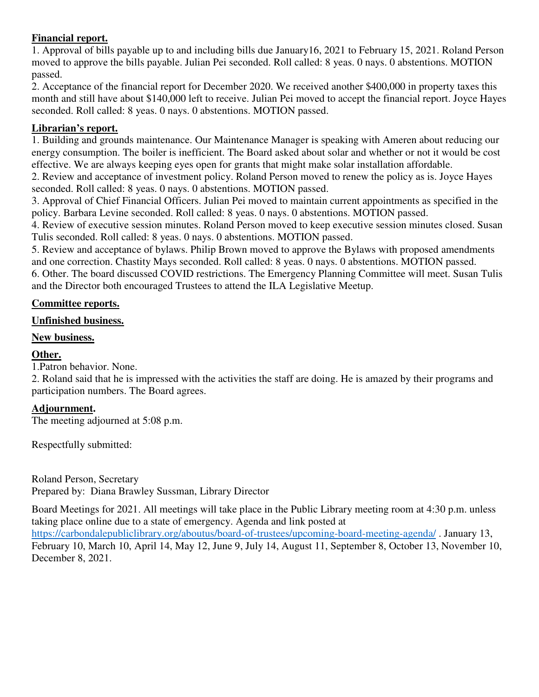# **Financial report.**

1. Approval of bills payable up to and including bills due January16, 2021 to February 15, 2021. Roland Person moved to approve the bills payable. Julian Pei seconded. Roll called: 8 yeas. 0 nays. 0 abstentions. MOTION passed.

2. Acceptance of the financial report for December 2020. We received another \$400,000 in property taxes this month and still have about \$140,000 left to receive. Julian Pei moved to accept the financial report. Joyce Hayes seconded. Roll called: 8 yeas. 0 nays. 0 abstentions. MOTION passed.

# **Librarian's report.**

1. Building and grounds maintenance. Our Maintenance Manager is speaking with Ameren about reducing our energy consumption. The boiler is inefficient. The Board asked about solar and whether or not it would be cost effective. We are always keeping eyes open for grants that might make solar installation affordable.

2. Review and acceptance of investment policy. Roland Person moved to renew the policy as is. Joyce Hayes seconded. Roll called: 8 yeas. 0 nays. 0 abstentions. MOTION passed.

3. Approval of Chief Financial Officers. Julian Pei moved to maintain current appointments as specified in the policy. Barbara Levine seconded. Roll called: 8 yeas. 0 nays. 0 abstentions. MOTION passed.

4. Review of executive session minutes. Roland Person moved to keep executive session minutes closed. Susan Tulis seconded. Roll called: 8 yeas. 0 nays. 0 abstentions. MOTION passed.

5. Review and acceptance of bylaws. Philip Brown moved to approve the Bylaws with proposed amendments and one correction. Chastity Mays seconded. Roll called: 8 yeas. 0 nays. 0 abstentions. MOTION passed. 6. Other. The board discussed COVID restrictions. The Emergency Planning Committee will meet. Susan Tulis and the Director both encouraged Trustees to attend the ILA Legislative Meetup.

# **Committee reports.**

# **Unfinished business.**

# **New business.**

# **Other.**

1.Patron behavior. None.

2. Roland said that he is impressed with the activities the staff are doing. He is amazed by their programs and participation numbers. The Board agrees.

# **Adjournment.**

The meeting adjourned at 5:08 p.m.

Respectfully submitted:

Roland Person, Secretary Prepared by: Diana Brawley Sussman, Library Director

Board Meetings for 2021. All meetings will take place in the Public Library meeting room at 4:30 p.m. unless taking place online due to a state of emergency. Agenda and link posted at

https://carbondalepubliclibrary.org/aboutus/board-of-trustees/upcoming-board-meeting-agenda/ . January 13, February 10, March 10, April 14, May 12, June 9, July 14, August 11, September 8, October 13, November 10, December 8, 2021.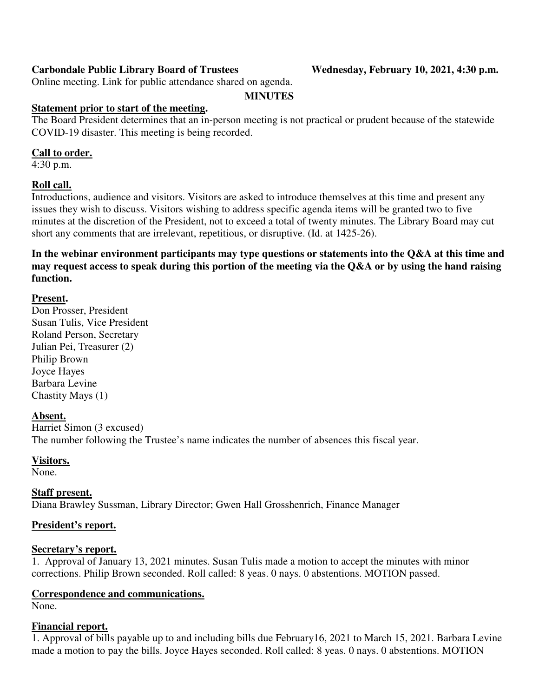# Carbondale Public Library Board of Trustees Wednesday, February 10, 2021, 4:30 p.m.

Online meeting. Link for public attendance shared on agenda.

#### **MINUTES**

### **Statement prior to start of the meeting.**

The Board President determines that an in-person meeting is not practical or prudent because of the statewide COVID-19 disaster. This meeting is being recorded.

#### **Call to order.**

4:30 p.m.

### **Roll call.**

Introductions, audience and visitors. Visitors are asked to introduce themselves at this time and present any issues they wish to discuss. Visitors wishing to address specific agenda items will be granted two to five minutes at the discretion of the President, not to exceed a total of twenty minutes. The Library Board may cut short any comments that are irrelevant, repetitious, or disruptive. (Id. at 1425-26).

**In the webinar environment participants may type questions or statements into the Q&A at this time and may request access to speak during this portion of the meeting via the Q&A or by using the hand raising function.** 

### **Present.**

Don Prosser, President Susan Tulis, Vice President Roland Person, Secretary Julian Pei, Treasurer (2) Philip Brown Joyce Hayes Barbara Levine Chastity Mays (1)

### **Absent.**

Harriet Simon (3 excused) The number following the Trustee's name indicates the number of absences this fiscal year.

### **Visitors.**

None.

### **Staff present.**

Diana Brawley Sussman, Library Director; Gwen Hall Grosshenrich, Finance Manager

### **President's report.**

### **Secretary's report.**

1. Approval of January 13, 2021 minutes. Susan Tulis made a motion to accept the minutes with minor corrections. Philip Brown seconded. Roll called: 8 yeas. 0 nays. 0 abstentions. MOTION passed.

### **Correspondence and communications.**

None.

# **Financial report.**

1. Approval of bills payable up to and including bills due February16, 2021 to March 15, 2021. Barbara Levine made a motion to pay the bills. Joyce Hayes seconded. Roll called: 8 yeas. 0 nays. 0 abstentions. MOTION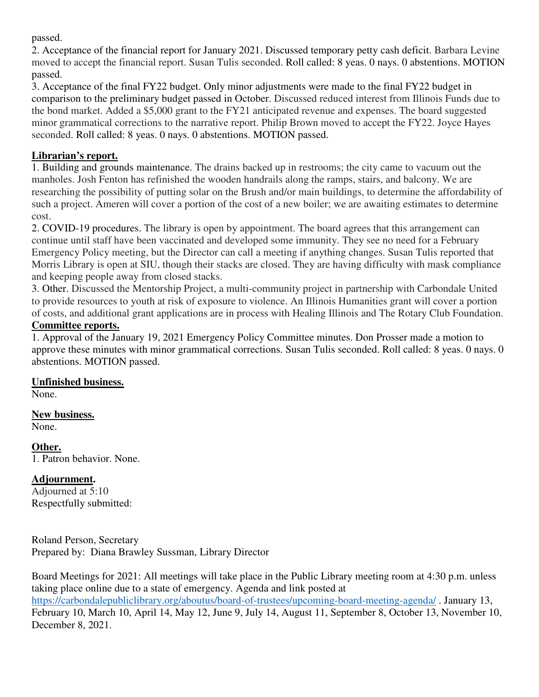passed.

2. Acceptance of the financial report for January 2021. Discussed temporary petty cash deficit. Barbara Levine moved to accept the financial report. Susan Tulis seconded. Roll called: 8 yeas. 0 nays. 0 abstentions. MOTION passed.

3. Acceptance of the final FY22 budget. Only minor adjustments were made to the final FY22 budget in comparison to the preliminary budget passed in October. Discussed reduced interest from Illinois Funds due to the bond market. Added a \$5,000 grant to the FY21 anticipated revenue and expenses. The board suggested minor grammatical corrections to the narrative report. Philip Brown moved to accept the FY22. Joyce Hayes seconded. Roll called: 8 yeas. 0 nays. 0 abstentions. MOTION passed.

# **Librarian's report.**

1. Building and grounds maintenance. The drains backed up in restrooms; the city came to vacuum out the manholes. Josh Fenton has refinished the wooden handrails along the ramps, stairs, and balcony. We are researching the possibility of putting solar on the Brush and/or main buildings, to determine the affordability of such a project. Ameren will cover a portion of the cost of a new boiler; we are awaiting estimates to determine cost.

2. COVID-19 procedures. The library is open by appointment. The board agrees that this arrangement can continue until staff have been vaccinated and developed some immunity. They see no need for a February Emergency Policy meeting, but the Director can call a meeting if anything changes. Susan Tulis reported that Morris Library is open at SIU, though their stacks are closed. They are having difficulty with mask compliance and keeping people away from closed stacks.

3. Other. Discussed the Mentorship Project, a multi-community project in partnership with Carbondale United to provide resources to youth at risk of exposure to violence. An Illinois Humanities grant will cover a portion of costs, and additional grant applications are in process with Healing Illinois and The Rotary Club Foundation.

# **Committee reports.**

1. Approval of the January 19, 2021 Emergency Policy Committee minutes. Don Prosser made a motion to approve these minutes with minor grammatical corrections. Susan Tulis seconded. Roll called: 8 yeas. 0 nays. 0 abstentions. MOTION passed.

# **Unfinished business.**

None.

#### **New business.**  None.

**Other.**  1. Patron behavior. None.

# **Adjournment.**

Adjourned at 5:10 Respectfully submitted:

Roland Person, Secretary Prepared by: Diana Brawley Sussman, Library Director

Board Meetings for 2021: All meetings will take place in the Public Library meeting room at 4:30 p.m. unless taking place online due to a state of emergency. Agenda and link posted at https://carbondalepubliclibrary.org/aboutus/board-of-trustees/upcoming-board-meeting-agenda/ . January 13, February 10, March 10, April 14, May 12, June 9, July 14, August 11, September 8, October 13, November 10, December 8, 2021.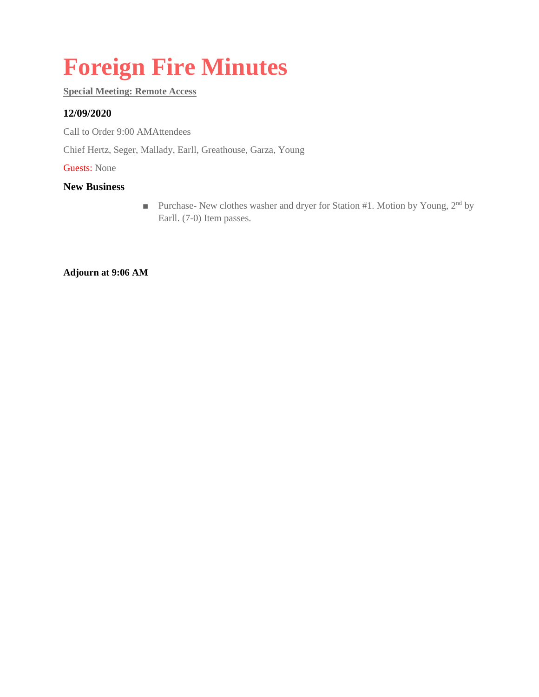# **Foreign Fire Minutes**

### **Special Meeting: Remote Access**

# **12/09/2020**

Call to Order 9:00 AMAttendees

Chief Hertz, Seger, Mallady, Earll, Greathouse, Garza, Young

Guests: None

#### **New Business**

■ Purchase- New clothes washer and dryer for Station #1. Motion by Young, 2<sup>nd</sup> by Earll. (7-0) Item passes.

**Adjourn at 9:06 AM**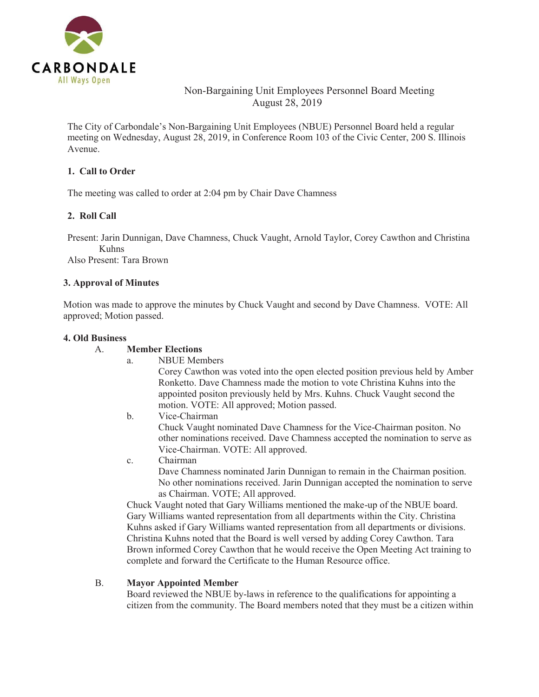

# Non-Bargaining Unit Employees Personnel Board Meeting August 28, 2019

The City of Carbondale's Non-Bargaining Unit Employees (NBUE) Personnel Board held a regular meeting on Wednesday, August 28, 2019, in Conference Room 103 of the Civic Center, 200 S. Illinois Avenue.

#### **1. Call to Order**

The meeting was called to order at 2:04 pm by Chair Dave Chamness

### **2. Roll Call**

Present: Jarin Dunnigan, Dave Chamness, Chuck Vaught, Arnold Taylor, Corey Cawthon and Christina Kuhns

Also Present: Tara Brown

#### **3. Approval of Minutes**

Motion was made to approve the minutes by Chuck Vaught and second by Dave Chamness. VOTE: All approved; Motion passed.

#### **4. Old Business**

#### A. **Member Elections**

a. NBUE Members

Corey Cawthon was voted into the open elected position previous held by Amber Ronketto. Dave Chamness made the motion to vote Christina Kuhns into the appointed positon previously held by Mrs. Kuhns. Chuck Vaught second the motion. VOTE: All approved; Motion passed.

- b. Vice-Chairman Chuck Vaught nominated Dave Chamness for the Vice-Chairman positon. No other nominations received. Dave Chamness accepted the nomination to serve as Vice-Chairman. VOTE: All approved.
- c. Chairman Dave Chamness nominated Jarin Dunnigan to remain in the Chairman position. No other nominations received. Jarin Dunnigan accepted the nomination to serve as Chairman. VOTE; All approved.

Chuck Vaught noted that Gary Williams mentioned the make-up of the NBUE board. Gary Williams wanted representation from all departments within the City. Christina Kuhns asked if Gary Williams wanted representation from all departments or divisions. Christina Kuhns noted that the Board is well versed by adding Corey Cawthon. Tara Brown informed Corey Cawthon that he would receive the Open Meeting Act training to complete and forward the Certificate to the Human Resource office.

#### B. **Mayor Appointed Member**

Board reviewed the NBUE by-laws in reference to the qualifications for appointing a citizen from the community. The Board members noted that they must be a citizen within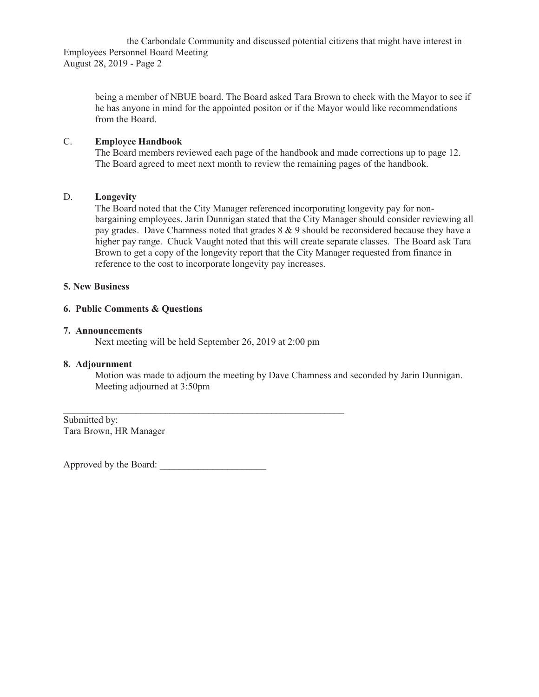the Carbondale Community and discussed potential citizens that might have interest in Employees Personnel Board Meeting August 28, 2019 - Page 2

being a member of NBUE board. The Board asked Tara Brown to check with the Mayor to see if he has anyone in mind for the appointed positon or if the Mayor would like recommendations from the Board.

#### C. **Employee Handbook**

The Board members reviewed each page of the handbook and made corrections up to page 12. The Board agreed to meet next month to review the remaining pages of the handbook.

#### D. **Longevity**

The Board noted that the City Manager referenced incorporating longevity pay for nonbargaining employees. Jarin Dunnigan stated that the City Manager should consider reviewing all pay grades. Dave Chamness noted that grades 8 & 9 should be reconsidered because they have a higher pay range. Chuck Vaught noted that this will create separate classes. The Board ask Tara Brown to get a copy of the longevity report that the City Manager requested from finance in reference to the cost to incorporate longevity pay increases.

#### **5. New Business**

#### **6. Public Comments & Questions**

#### **7. Announcements**

Next meeting will be held September 26, 2019 at 2:00 pm

 $\mathcal{L}_\text{max}$  and the contract of the contract of the contract of the contract of the contract of the contract of

#### **8. Adjournment**

Motion was made to adjourn the meeting by Dave Chamness and seconded by Jarin Dunnigan. Meeting adjourned at 3:50pm

Submitted by: Tara Brown, HR Manager

Approved by the Board: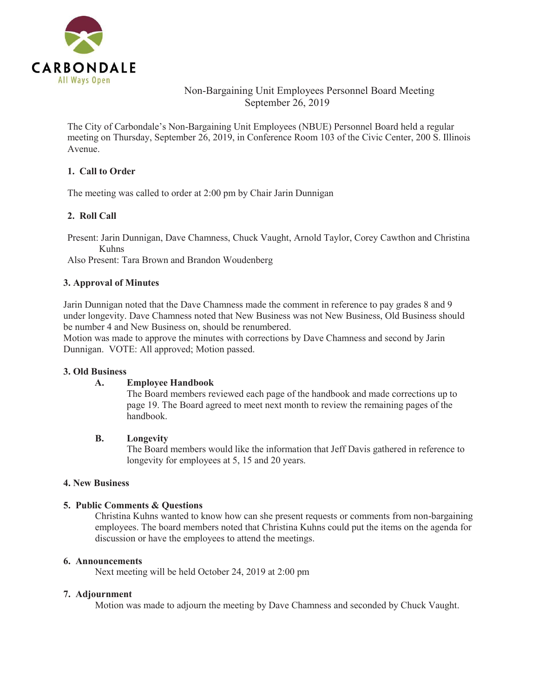

# Non-Bargaining Unit Employees Personnel Board Meeting September 26, 2019

The City of Carbondale's Non-Bargaining Unit Employees (NBUE) Personnel Board held a regular meeting on Thursday, September 26, 2019, in Conference Room 103 of the Civic Center, 200 S. Illinois Avenue.

#### **1. Call to Order**

The meeting was called to order at 2:00 pm by Chair Jarin Dunnigan

### **2. Roll Call**

Present: Jarin Dunnigan, Dave Chamness, Chuck Vaught, Arnold Taylor, Corey Cawthon and Christina Kuhns

Also Present: Tara Brown and Brandon Woudenberg

#### **3. Approval of Minutes**

Jarin Dunnigan noted that the Dave Chamness made the comment in reference to pay grades 8 and 9 under longevity. Dave Chamness noted that New Business was not New Business, Old Business should be number 4 and New Business on, should be renumbered.

Motion was made to approve the minutes with corrections by Dave Chamness and second by Jarin Dunnigan. VOTE: All approved; Motion passed.

#### **3. Old Business**

#### **A. Employee Handbook**

The Board members reviewed each page of the handbook and made corrections up to page 19. The Board agreed to meet next month to review the remaining pages of the handbook.

#### **B. Longevity**

The Board members would like the information that Jeff Davis gathered in reference to longevity for employees at 5, 15 and 20 years.

#### **4. New Business**

#### **5. Public Comments & Questions**

Christina Kuhns wanted to know how can she present requests or comments from non-bargaining employees. The board members noted that Christina Kuhns could put the items on the agenda for discussion or have the employees to attend the meetings.

#### **6. Announcements**

Next meeting will be held October 24, 2019 at 2:00 pm

#### **7. Adjournment**

Motion was made to adjourn the meeting by Dave Chamness and seconded by Chuck Vaught.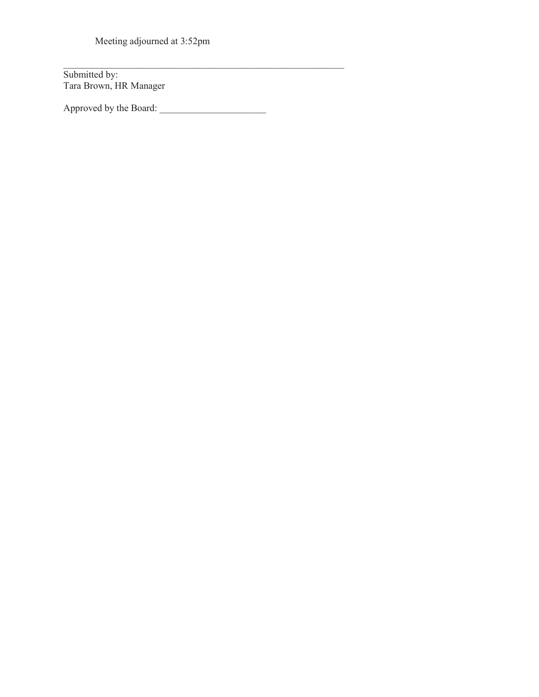Meeting adjourned at 3:52pm

Submitted by: Tara Brown, HR Manager

Approved by the Board:

 $\mathcal{L}_\text{max}$  and  $\mathcal{L}_\text{max}$  and  $\mathcal{L}_\text{max}$  and  $\mathcal{L}_\text{max}$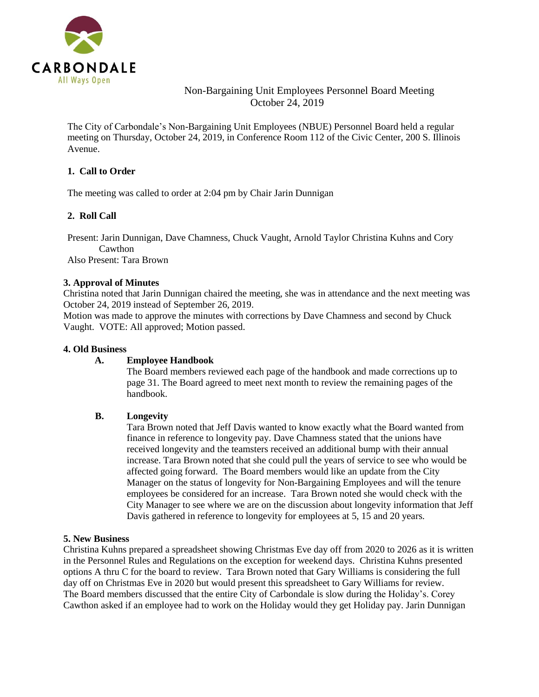

# Non-Bargaining Unit Employees Personnel Board Meeting October 24, 2019

The City of Carbondale's Non-Bargaining Unit Employees (NBUE) Personnel Board held a regular meeting on Thursday, October 24, 2019, in Conference Room 112 of the Civic Center, 200 S. Illinois Avenue.

#### **1. Call to Order**

The meeting was called to order at 2:04 pm by Chair Jarin Dunnigan

### **2. Roll Call**

Present: Jarin Dunnigan, Dave Chamness, Chuck Vaught, Arnold Taylor Christina Kuhns and Cory Cawthon Also Present: Tara Brown

#### **3. Approval of Minutes**

Christina noted that Jarin Dunnigan chaired the meeting, she was in attendance and the next meeting was October 24, 2019 instead of September 26, 2019.

Motion was made to approve the minutes with corrections by Dave Chamness and second by Chuck Vaught. VOTE: All approved; Motion passed.

#### **4. Old Business**

#### **A. Employee Handbook**

The Board members reviewed each page of the handbook and made corrections up to page 31. The Board agreed to meet next month to review the remaining pages of the handbook.

#### **B. Longevity**

Tara Brown noted that Jeff Davis wanted to know exactly what the Board wanted from finance in reference to longevity pay. Dave Chamness stated that the unions have received longevity and the teamsters received an additional bump with their annual increase. Tara Brown noted that she could pull the years of service to see who would be affected going forward. The Board members would like an update from the City Manager on the status of longevity for Non-Bargaining Employees and will the tenure employees be considered for an increase. Tara Brown noted she would check with the City Manager to see where we are on the discussion about longevity information that Jeff Davis gathered in reference to longevity for employees at 5, 15 and 20 years.

#### **5. New Business**

Christina Kuhns prepared a spreadsheet showing Christmas Eve day off from 2020 to 2026 as it is written in the Personnel Rules and Regulations on the exception for weekend days. Christina Kuhns presented options A thru C for the board to review. Tara Brown noted that Gary Williams is considering the full day off on Christmas Eve in 2020 but would present this spreadsheet to Gary Williams for review. The Board members discussed that the entire City of Carbondale is slow during the Holiday's. Corey Cawthon asked if an employee had to work on the Holiday would they get Holiday pay. Jarin Dunnigan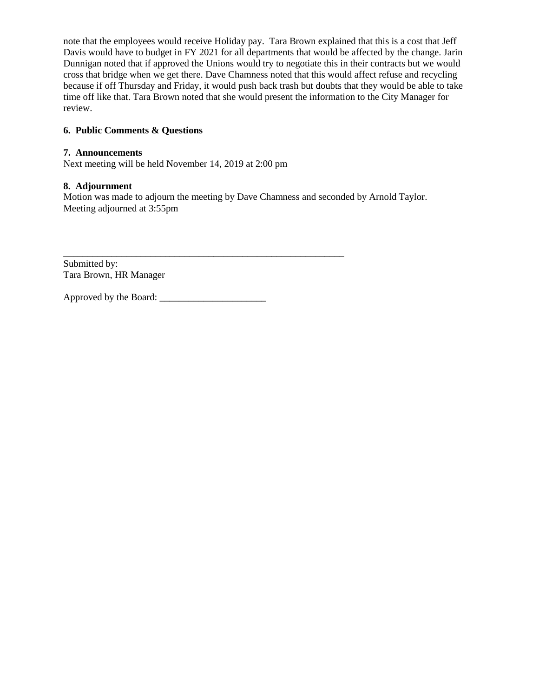note that the employees would receive Holiday pay. Tara Brown explained that this is a cost that Jeff Davis would have to budget in FY 2021 for all departments that would be affected by the change. Jarin Dunnigan noted that if approved the Unions would try to negotiate this in their contracts but we would cross that bridge when we get there. Dave Chamness noted that this would affect refuse and recycling because if off Thursday and Friday, it would push back trash but doubts that they would be able to take time off like that. Tara Brown noted that she would present the information to the City Manager for review.

#### **6. Public Comments & Questions**

#### **7. Announcements**

Next meeting will be held November 14, 2019 at 2:00 pm

#### **8. Adjournment**

Motion was made to adjourn the meeting by Dave Chamness and seconded by Arnold Taylor. Meeting adjourned at 3:55pm

Submitted by: Tara Brown, HR Manager

Approved by the Board: \_\_\_\_\_\_\_\_\_\_\_\_\_\_\_\_\_\_\_\_\_\_

\_\_\_\_\_\_\_\_\_\_\_\_\_\_\_\_\_\_\_\_\_\_\_\_\_\_\_\_\_\_\_\_\_\_\_\_\_\_\_\_\_\_\_\_\_\_\_\_\_\_\_\_\_\_\_\_\_\_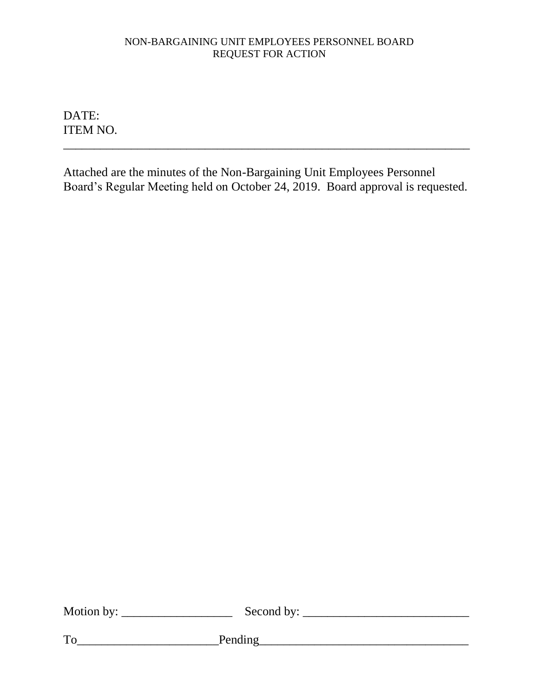# NON-BARGAINING UNIT EMPLOYEES PERSONNEL BOARD REQUEST FOR ACTION

DATE: ITEM NO.

Attached are the minutes of the Non-Bargaining Unit Employees Personnel Board's Regular Meeting held on October 24, 2019. Board approval is requested.

\_\_\_\_\_\_\_\_\_\_\_\_\_\_\_\_\_\_\_\_\_\_\_\_\_\_\_\_\_\_\_\_\_\_\_\_\_\_\_\_\_\_\_\_\_\_\_\_\_\_\_\_\_\_\_\_\_\_\_\_\_\_\_\_\_\_

| Motion by: | Second by: |
|------------|------------|
|            |            |

To\_\_\_\_\_\_\_\_\_\_\_\_\_\_\_\_\_\_\_\_\_\_\_Pending\_\_\_\_\_\_\_\_\_\_\_\_\_\_\_\_\_\_\_\_\_\_\_\_\_\_\_\_\_\_\_\_\_\_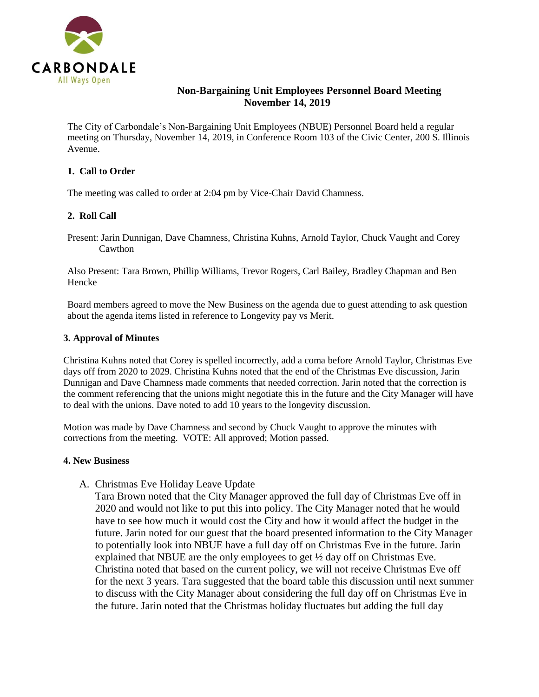

# **Non-Bargaining Unit Employees Personnel Board Meeting November 14, 2019**

The City of Carbondale's Non-Bargaining Unit Employees (NBUE) Personnel Board held a regular meeting on Thursday, November 14, 2019, in Conference Room 103 of the Civic Center, 200 S. Illinois Avenue.

#### **1. Call to Order**

The meeting was called to order at 2:04 pm by Vice-Chair David Chamness.

### **2. Roll Call**

Present: Jarin Dunnigan, Dave Chamness, Christina Kuhns, Arnold Taylor, Chuck Vaught and Corey Cawthon

Also Present: Tara Brown, Phillip Williams, Trevor Rogers, Carl Bailey, Bradley Chapman and Ben Hencke

Board members agreed to move the New Business on the agenda due to guest attending to ask question about the agenda items listed in reference to Longevity pay vs Merit.

#### **3. Approval of Minutes**

Christina Kuhns noted that Corey is spelled incorrectly, add a coma before Arnold Taylor, Christmas Eve days off from 2020 to 2029. Christina Kuhns noted that the end of the Christmas Eve discussion, Jarin Dunnigan and Dave Chamness made comments that needed correction. Jarin noted that the correction is the comment referencing that the unions might negotiate this in the future and the City Manager will have to deal with the unions. Dave noted to add 10 years to the longevity discussion.

Motion was made by Dave Chamness and second by Chuck Vaught to approve the minutes with corrections from the meeting. VOTE: All approved; Motion passed.

#### **4. New Business**

A. Christmas Eve Holiday Leave Update

Tara Brown noted that the City Manager approved the full day of Christmas Eve off in 2020 and would not like to put this into policy. The City Manager noted that he would have to see how much it would cost the City and how it would affect the budget in the future. Jarin noted for our guest that the board presented information to the City Manager to potentially look into NBUE have a full day off on Christmas Eve in the future. Jarin explained that NBUE are the only employees to get  $\frac{1}{2}$  day off on Christmas Eve. Christina noted that based on the current policy, we will not receive Christmas Eve off for the next 3 years. Tara suggested that the board table this discussion until next summer to discuss with the City Manager about considering the full day off on Christmas Eve in the future. Jarin noted that the Christmas holiday fluctuates but adding the full day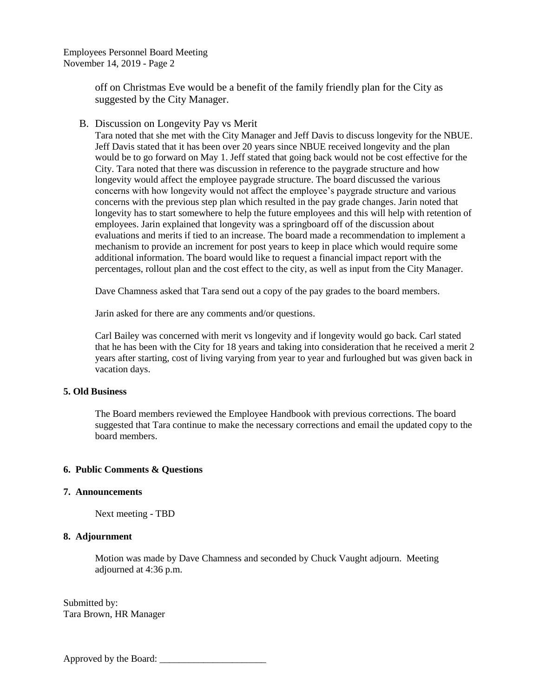Employees Personnel Board Meeting November 14, 2019 - Page 2

> off on Christmas Eve would be a benefit of the family friendly plan for the City as suggested by the City Manager.

B. Discussion on Longevity Pay vs Merit

Tara noted that she met with the City Manager and Jeff Davis to discuss longevity for the NBUE. Jeff Davis stated that it has been over 20 years since NBUE received longevity and the plan would be to go forward on May 1. Jeff stated that going back would not be cost effective for the City. Tara noted that there was discussion in reference to the paygrade structure and how longevity would affect the employee paygrade structure. The board discussed the various concerns with how longevity would not affect the employee's paygrade structure and various concerns with the previous step plan which resulted in the pay grade changes. Jarin noted that longevity has to start somewhere to help the future employees and this will help with retention of employees. Jarin explained that longevity was a springboard off of the discussion about evaluations and merits if tied to an increase. The board made a recommendation to implement a mechanism to provide an increment for post years to keep in place which would require some additional information. The board would like to request a financial impact report with the percentages, rollout plan and the cost effect to the city, as well as input from the City Manager.

Dave Chamness asked that Tara send out a copy of the pay grades to the board members.

Jarin asked for there are any comments and/or questions.

Carl Bailey was concerned with merit vs longevity and if longevity would go back. Carl stated that he has been with the City for 18 years and taking into consideration that he received a merit 2 years after starting, cost of living varying from year to year and furloughed but was given back in vacation days.

#### **5. Old Business**

The Board members reviewed the Employee Handbook with previous corrections. The board suggested that Tara continue to make the necessary corrections and email the updated copy to the board members.

#### **6. Public Comments & Questions**

#### **7. Announcements**

Next meeting - TBD

#### **8. Adjournment**

Motion was made by Dave Chamness and seconded by Chuck Vaught adjourn. Meeting adjourned at 4:36 p.m.

Submitted by: Tara Brown, HR Manager

Approved by the Board: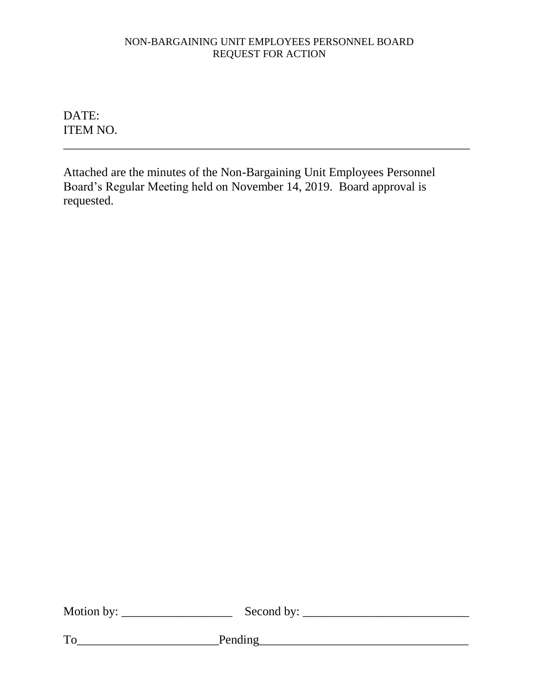# NON-BARGAINING UNIT EMPLOYEES PERSONNEL BOARD REQUEST FOR ACTION

\_\_\_\_\_\_\_\_\_\_\_\_\_\_\_\_\_\_\_\_\_\_\_\_\_\_\_\_\_\_\_\_\_\_\_\_\_\_\_\_\_\_\_\_\_\_\_\_\_\_\_\_\_\_\_\_\_\_\_\_\_\_\_\_\_\_

DATE: ITEM NO.

Attached are the minutes of the Non-Bargaining Unit Employees Personnel Board's Regular Meeting held on November 14, 2019. Board approval is requested.

| Motion by: | Second by: |
|------------|------------|
|            |            |

 $To$  Pending Pending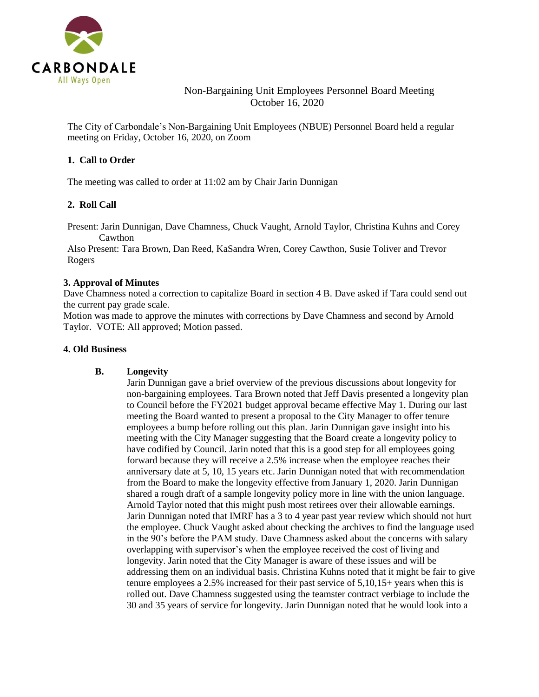

# Non-Bargaining Unit Employees Personnel Board Meeting October 16, 2020

The City of Carbondale's Non-Bargaining Unit Employees (NBUE) Personnel Board held a regular meeting on Friday, October 16, 2020, on Zoom

#### **1. Call to Order**

The meeting was called to order at 11:02 am by Chair Jarin Dunnigan

#### **2. Roll Call**

Present: Jarin Dunnigan, Dave Chamness, Chuck Vaught, Arnold Taylor, Christina Kuhns and Corey Cawthon

Also Present: Tara Brown, Dan Reed, KaSandra Wren, Corey Cawthon, Susie Toliver and Trevor Rogers

#### **3. Approval of Minutes**

Dave Chamness noted a correction to capitalize Board in section 4 B. Dave asked if Tara could send out the current pay grade scale.

Motion was made to approve the minutes with corrections by Dave Chamness and second by Arnold Taylor. VOTE: All approved; Motion passed.

#### **4. Old Business**

#### **B. Longevity**

Jarin Dunnigan gave a brief overview of the previous discussions about longevity for non-bargaining employees. Tara Brown noted that Jeff Davis presented a longevity plan to Council before the FY2021 budget approval became effective May 1. During our last meeting the Board wanted to present a proposal to the City Manager to offer tenure employees a bump before rolling out this plan. Jarin Dunnigan gave insight into his meeting with the City Manager suggesting that the Board create a longevity policy to have codified by Council. Jarin noted that this is a good step for all employees going forward because they will receive a 2.5% increase when the employee reaches their anniversary date at 5, 10, 15 years etc. Jarin Dunnigan noted that with recommendation from the Board to make the longevity effective from January 1, 2020. Jarin Dunnigan shared a rough draft of a sample longevity policy more in line with the union language. Arnold Taylor noted that this might push most retirees over their allowable earnings. Jarin Dunnigan noted that IMRF has a 3 to 4 year past year review which should not hurt the employee. Chuck Vaught asked about checking the archives to find the language used in the 90's before the PAM study. Dave Chamness asked about the concerns with salary overlapping with supervisor's when the employee received the cost of living and longevity. Jarin noted that the City Manager is aware of these issues and will be addressing them on an individual basis. Christina Kuhns noted that it might be fair to give tenure employees a 2.5% increased for their past service of 5,10,15+ years when this is rolled out. Dave Chamness suggested using the teamster contract verbiage to include the 30 and 35 years of service for longevity. Jarin Dunnigan noted that he would look into a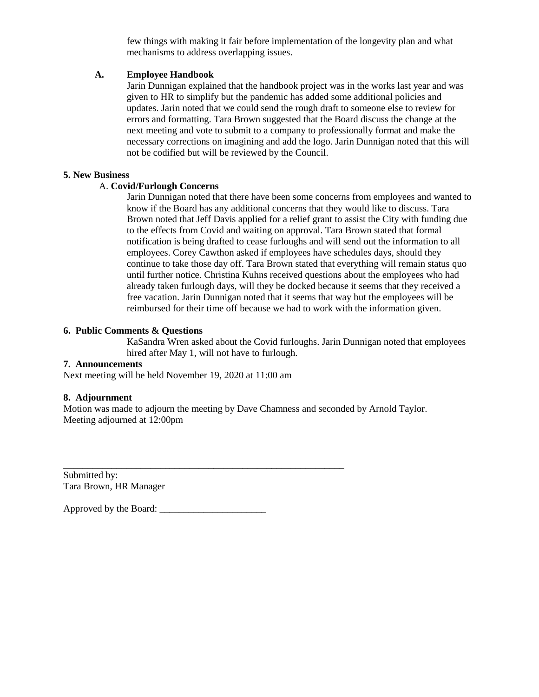few things with making it fair before implementation of the longevity plan and what mechanisms to address overlapping issues.

#### **A. Employee Handbook**

Jarin Dunnigan explained that the handbook project was in the works last year and was given to HR to simplify but the pandemic has added some additional policies and updates. Jarin noted that we could send the rough draft to someone else to review for errors and formatting. Tara Brown suggested that the Board discuss the change at the next meeting and vote to submit to a company to professionally format and make the necessary corrections on imagining and add the logo. Jarin Dunnigan noted that this will not be codified but will be reviewed by the Council.

#### **5. New Business**

#### A. **Covid/Furlough Concerns**

Jarin Dunnigan noted that there have been some concerns from employees and wanted to know if the Board has any additional concerns that they would like to discuss. Tara Brown noted that Jeff Davis applied for a relief grant to assist the City with funding due to the effects from Covid and waiting on approval. Tara Brown stated that formal notification is being drafted to cease furloughs and will send out the information to all employees. Corey Cawthon asked if employees have schedules days, should they continue to take those day off. Tara Brown stated that everything will remain status quo until further notice. Christina Kuhns received questions about the employees who had already taken furlough days, will they be docked because it seems that they received a free vacation. Jarin Dunnigan noted that it seems that way but the employees will be reimbursed for their time off because we had to work with the information given.

#### **6. Public Comments & Questions**

KaSandra Wren asked about the Covid furloughs. Jarin Dunnigan noted that employees hired after May 1, will not have to furlough.

#### **7. Announcements**

Next meeting will be held November 19, 2020 at 11:00 am

\_\_\_\_\_\_\_\_\_\_\_\_\_\_\_\_\_\_\_\_\_\_\_\_\_\_\_\_\_\_\_\_\_\_\_\_\_\_\_\_\_\_\_\_\_\_\_\_\_\_\_\_\_\_\_\_\_\_

#### **8. Adjournment**

Motion was made to adjourn the meeting by Dave Chamness and seconded by Arnold Taylor. Meeting adjourned at 12:00pm

Submitted by: Tara Brown, HR Manager

Approved by the Board: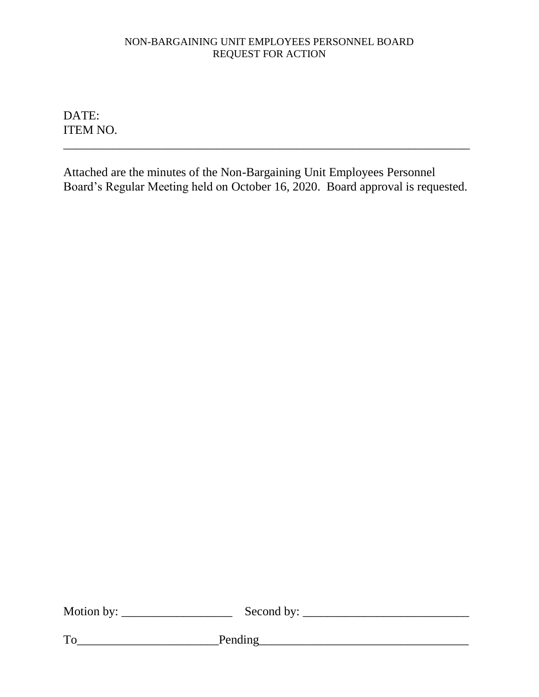# NON-BARGAINING UNIT EMPLOYEES PERSONNEL BOARD REQUEST FOR ACTION

DATE: ITEM NO.

Attached are the minutes of the Non-Bargaining Unit Employees Personnel Board's Regular Meeting held on October 16, 2020. Board approval is requested.

\_\_\_\_\_\_\_\_\_\_\_\_\_\_\_\_\_\_\_\_\_\_\_\_\_\_\_\_\_\_\_\_\_\_\_\_\_\_\_\_\_\_\_\_\_\_\_\_\_\_\_\_\_\_\_\_\_\_\_\_\_\_\_\_\_\_

| Motion by: | Second by: |
|------------|------------|
|            |            |

To\_\_\_\_\_\_\_\_\_\_\_\_\_\_\_\_\_\_\_\_\_\_\_Pending\_\_\_\_\_\_\_\_\_\_\_\_\_\_\_\_\_\_\_\_\_\_\_\_\_\_\_\_\_\_\_\_\_\_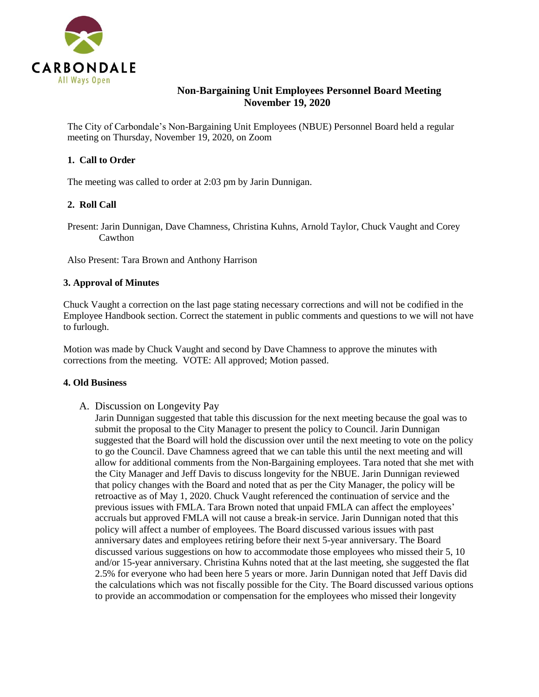

# **Non-Bargaining Unit Employees Personnel Board Meeting November 19, 2020**

The City of Carbondale's Non-Bargaining Unit Employees (NBUE) Personnel Board held a regular meeting on Thursday, November 19, 2020, on Zoom

#### **1. Call to Order**

The meeting was called to order at 2:03 pm by Jarin Dunnigan.

#### **2. Roll Call**

Present: Jarin Dunnigan, Dave Chamness, Christina Kuhns, Arnold Taylor, Chuck Vaught and Corey Cawthon

Also Present: Tara Brown and Anthony Harrison

#### **3. Approval of Minutes**

Chuck Vaught a correction on the last page stating necessary corrections and will not be codified in the Employee Handbook section. Correct the statement in public comments and questions to we will not have to furlough.

Motion was made by Chuck Vaught and second by Dave Chamness to approve the minutes with corrections from the meeting. VOTE: All approved; Motion passed.

#### **4. Old Business**

A. Discussion on Longevity Pay

Jarin Dunnigan suggested that table this discussion for the next meeting because the goal was to submit the proposal to the City Manager to present the policy to Council. Jarin Dunnigan suggested that the Board will hold the discussion over until the next meeting to vote on the policy to go the Council. Dave Chamness agreed that we can table this until the next meeting and will allow for additional comments from the Non-Bargaining employees. Tara noted that she met with the City Manager and Jeff Davis to discuss longevity for the NBUE. Jarin Dunnigan reviewed that policy changes with the Board and noted that as per the City Manager, the policy will be retroactive as of May 1, 2020. Chuck Vaught referenced the continuation of service and the previous issues with FMLA. Tara Brown noted that unpaid FMLA can affect the employees' accruals but approved FMLA will not cause a break-in service. Jarin Dunnigan noted that this policy will affect a number of employees. The Board discussed various issues with past anniversary dates and employees retiring before their next 5-year anniversary. The Board discussed various suggestions on how to accommodate those employees who missed their 5, 10 and/or 15-year anniversary. Christina Kuhns noted that at the last meeting, she suggested the flat 2.5% for everyone who had been here 5 years or more. Jarin Dunnigan noted that Jeff Davis did the calculations which was not fiscally possible for the City. The Board discussed various options to provide an accommodation or compensation for the employees who missed their longevity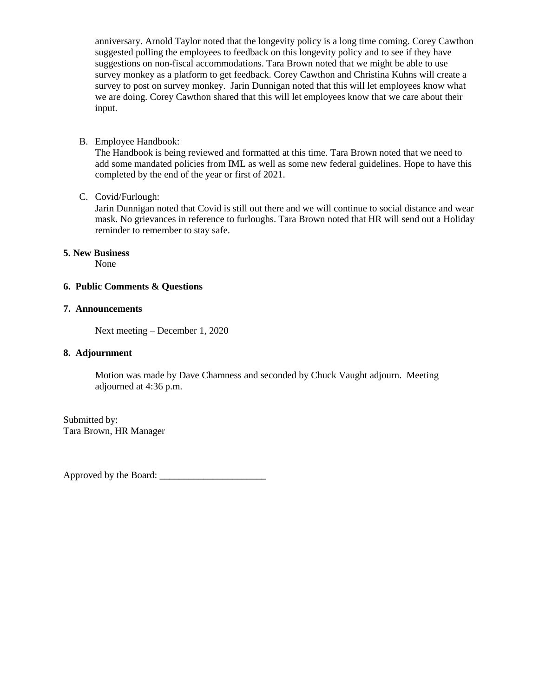anniversary. Arnold Taylor noted that the longevity policy is a long time coming. Corey Cawthon suggested polling the employees to feedback on this longevity policy and to see if they have suggestions on non-fiscal accommodations. Tara Brown noted that we might be able to use survey monkey as a platform to get feedback. Corey Cawthon and Christina Kuhns will create a survey to post on survey monkey. Jarin Dunnigan noted that this will let employees know what we are doing. Corey Cawthon shared that this will let employees know that we care about their input.

#### B. Employee Handbook:

The Handbook is being reviewed and formatted at this time. Tara Brown noted that we need to add some mandated policies from IML as well as some new federal guidelines. Hope to have this completed by the end of the year or first of 2021.

#### C. Covid/Furlough:

Jarin Dunnigan noted that Covid is still out there and we will continue to social distance and wear mask. No grievances in reference to furloughs. Tara Brown noted that HR will send out a Holiday reminder to remember to stay safe.

#### **5. New Business**

None

#### **6. Public Comments & Questions**

#### **7. Announcements**

Next meeting – December 1, 2020

#### **8. Adjournment**

Motion was made by Dave Chamness and seconded by Chuck Vaught adjourn. Meeting adjourned at 4:36 p.m.

Submitted by: Tara Brown, HR Manager

Approved by the Board: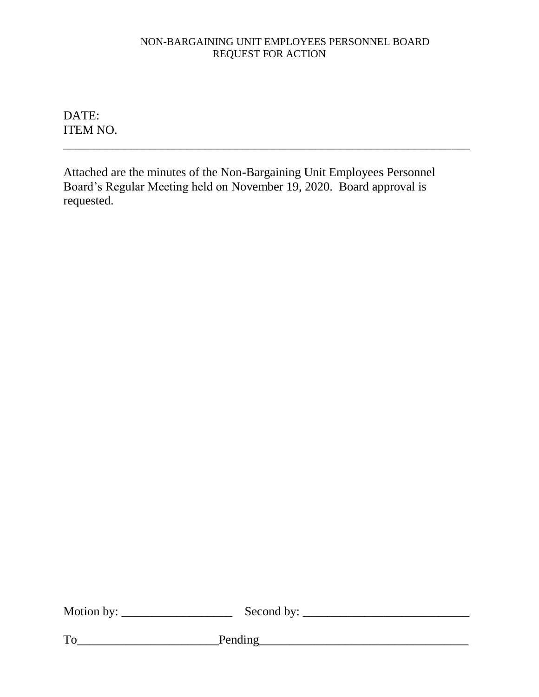# NON-BARGAINING UNIT EMPLOYEES PERSONNEL BOARD REQUEST FOR ACTION

DATE: ITEM NO.

Attached are the minutes of the Non-Bargaining Unit Employees Personnel Board's Regular Meeting held on November 19, 2020. Board approval is requested.

\_\_\_\_\_\_\_\_\_\_\_\_\_\_\_\_\_\_\_\_\_\_\_\_\_\_\_\_\_\_\_\_\_\_\_\_\_\_\_\_\_\_\_\_\_\_\_\_\_\_\_\_\_\_\_\_\_\_\_\_\_\_\_\_\_\_

| Motion by: | Second by: |  |
|------------|------------|--|
|            |            |  |
| To         | Pending    |  |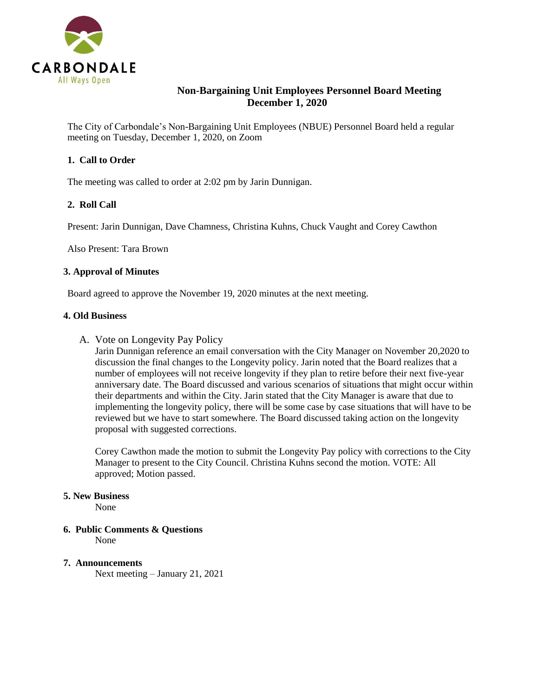

# **Non-Bargaining Unit Employees Personnel Board Meeting December 1, 2020**

The City of Carbondale's Non-Bargaining Unit Employees (NBUE) Personnel Board held a regular meeting on Tuesday, December 1, 2020, on Zoom

#### **1. Call to Order**

The meeting was called to order at 2:02 pm by Jarin Dunnigan.

#### **2. Roll Call**

Present: Jarin Dunnigan, Dave Chamness, Christina Kuhns, Chuck Vaught and Corey Cawthon

Also Present: Tara Brown

#### **3. Approval of Minutes**

Board agreed to approve the November 19, 2020 minutes at the next meeting.

#### **4. Old Business**

A. Vote on Longevity Pay Policy

Jarin Dunnigan reference an email conversation with the City Manager on November 20,2020 to discussion the final changes to the Longevity policy. Jarin noted that the Board realizes that a number of employees will not receive longevity if they plan to retire before their next five-year anniversary date. The Board discussed and various scenarios of situations that might occur within their departments and within the City. Jarin stated that the City Manager is aware that due to implementing the longevity policy, there will be some case by case situations that will have to be reviewed but we have to start somewhere. The Board discussed taking action on the longevity proposal with suggested corrections.

Corey Cawthon made the motion to submit the Longevity Pay policy with corrections to the City Manager to present to the City Council. Christina Kuhns second the motion. VOTE: All approved; Motion passed.

#### **5. New Business**

None

**6. Public Comments & Questions** 

None

#### **7. Announcements**

Next meeting – January 21, 2021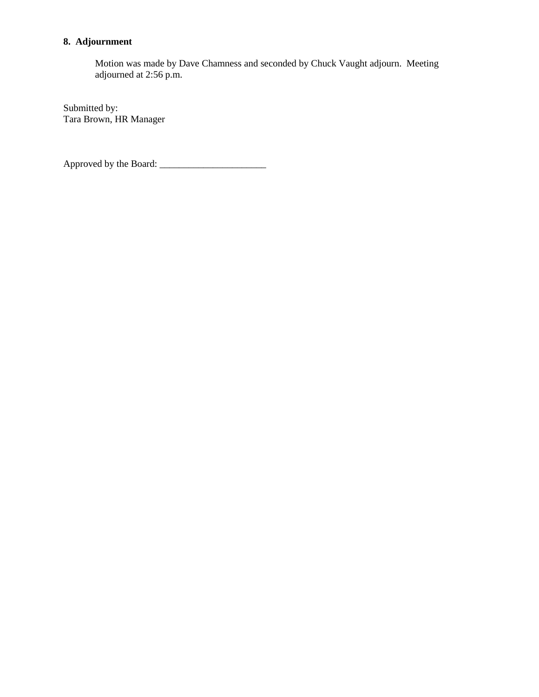# **8. Adjournment**

Motion was made by Dave Chamness and seconded by Chuck Vaught adjourn. Meeting adjourned at 2:56 p.m.

Submitted by: Tara Brown, HR Manager

Approved by the Board: \_\_\_\_\_\_\_\_\_\_\_\_\_\_\_\_\_\_\_\_\_\_